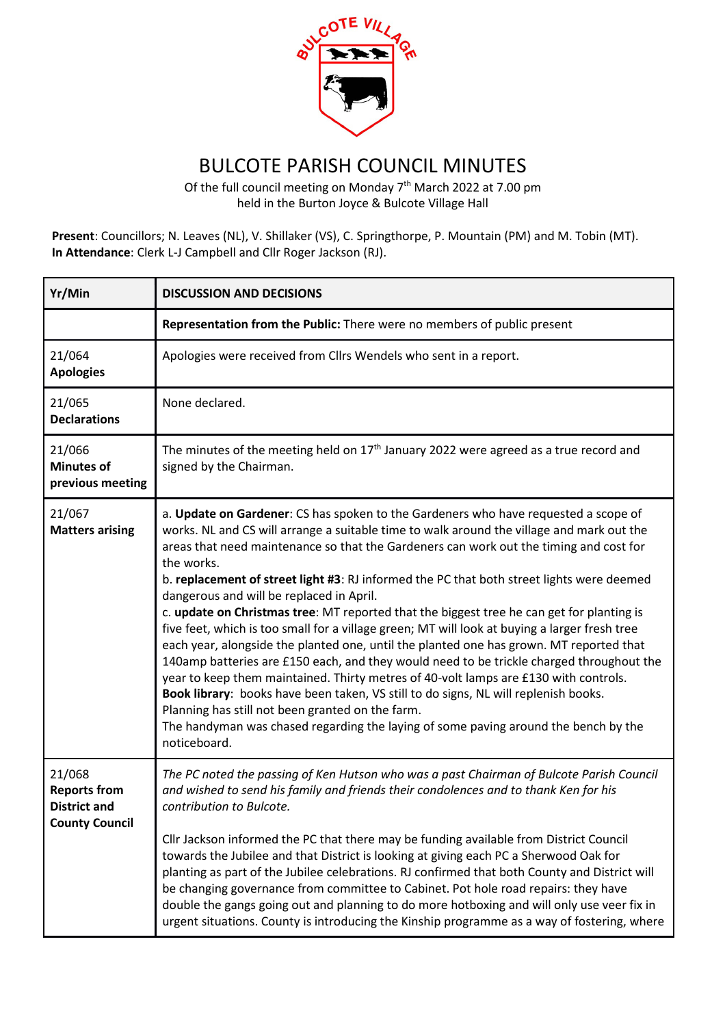

## BULCOTE PARISH COUNCIL MINUTES

Of the full council meeting on Monday 7<sup>th</sup> March 2022 at 7.00 pm held in the Burton Joyce & Bulcote Village Hall

**Present**: Councillors; N. Leaves (NL), V. Shillaker (VS), C. Springthorpe, P. Mountain (PM) and M. Tobin (MT). **In Attendance**: Clerk L-J Campbell and Cllr Roger Jackson (RJ).

| Yr/Min                                                                        | <b>DISCUSSION AND DECISIONS</b>                                                                                                                                                                                                                                                                                                                                                                                                                                                                                                                                                                                                                                                                                                                                                                                                                                                                                                                                                                                                                                                                                                                                  |
|-------------------------------------------------------------------------------|------------------------------------------------------------------------------------------------------------------------------------------------------------------------------------------------------------------------------------------------------------------------------------------------------------------------------------------------------------------------------------------------------------------------------------------------------------------------------------------------------------------------------------------------------------------------------------------------------------------------------------------------------------------------------------------------------------------------------------------------------------------------------------------------------------------------------------------------------------------------------------------------------------------------------------------------------------------------------------------------------------------------------------------------------------------------------------------------------------------------------------------------------------------|
|                                                                               | Representation from the Public: There were no members of public present                                                                                                                                                                                                                                                                                                                                                                                                                                                                                                                                                                                                                                                                                                                                                                                                                                                                                                                                                                                                                                                                                          |
| 21/064<br><b>Apologies</b>                                                    | Apologies were received from Cllrs Wendels who sent in a report.                                                                                                                                                                                                                                                                                                                                                                                                                                                                                                                                                                                                                                                                                                                                                                                                                                                                                                                                                                                                                                                                                                 |
| 21/065<br><b>Declarations</b>                                                 | None declared.                                                                                                                                                                                                                                                                                                                                                                                                                                                                                                                                                                                                                                                                                                                                                                                                                                                                                                                                                                                                                                                                                                                                                   |
| 21/066<br><b>Minutes of</b><br>previous meeting                               | The minutes of the meeting held on $17th$ January 2022 were agreed as a true record and<br>signed by the Chairman.                                                                                                                                                                                                                                                                                                                                                                                                                                                                                                                                                                                                                                                                                                                                                                                                                                                                                                                                                                                                                                               |
| 21/067<br><b>Matters arising</b>                                              | a. Update on Gardener: CS has spoken to the Gardeners who have requested a scope of<br>works. NL and CS will arrange a suitable time to walk around the village and mark out the<br>areas that need maintenance so that the Gardeners can work out the timing and cost for<br>the works.<br>b. replacement of street light #3: RJ informed the PC that both street lights were deemed<br>dangerous and will be replaced in April.<br>c. update on Christmas tree: MT reported that the biggest tree he can get for planting is<br>five feet, which is too small for a village green; MT will look at buying a larger fresh tree<br>each year, alongside the planted one, until the planted one has grown. MT reported that<br>140amp batteries are £150 each, and they would need to be trickle charged throughout the<br>year to keep them maintained. Thirty metres of 40-volt lamps are £130 with controls.<br>Book library: books have been taken, VS still to do signs, NL will replenish books.<br>Planning has still not been granted on the farm.<br>The handyman was chased regarding the laying of some paving around the bench by the<br>noticeboard. |
| 21/068<br><b>Reports from</b><br><b>District and</b><br><b>County Council</b> | The PC noted the passing of Ken Hutson who was a past Chairman of Bulcote Parish Council<br>and wished to send his family and friends their condolences and to thank Ken for his<br>contribution to Bulcote.<br>Cllr Jackson informed the PC that there may be funding available from District Council<br>towards the Jubilee and that District is looking at giving each PC a Sherwood Oak for<br>planting as part of the Jubilee celebrations. RJ confirmed that both County and District will<br>be changing governance from committee to Cabinet. Pot hole road repairs: they have<br>double the gangs going out and planning to do more hotboxing and will only use veer fix in<br>urgent situations. County is introducing the Kinship programme as a way of fostering, where                                                                                                                                                                                                                                                                                                                                                                              |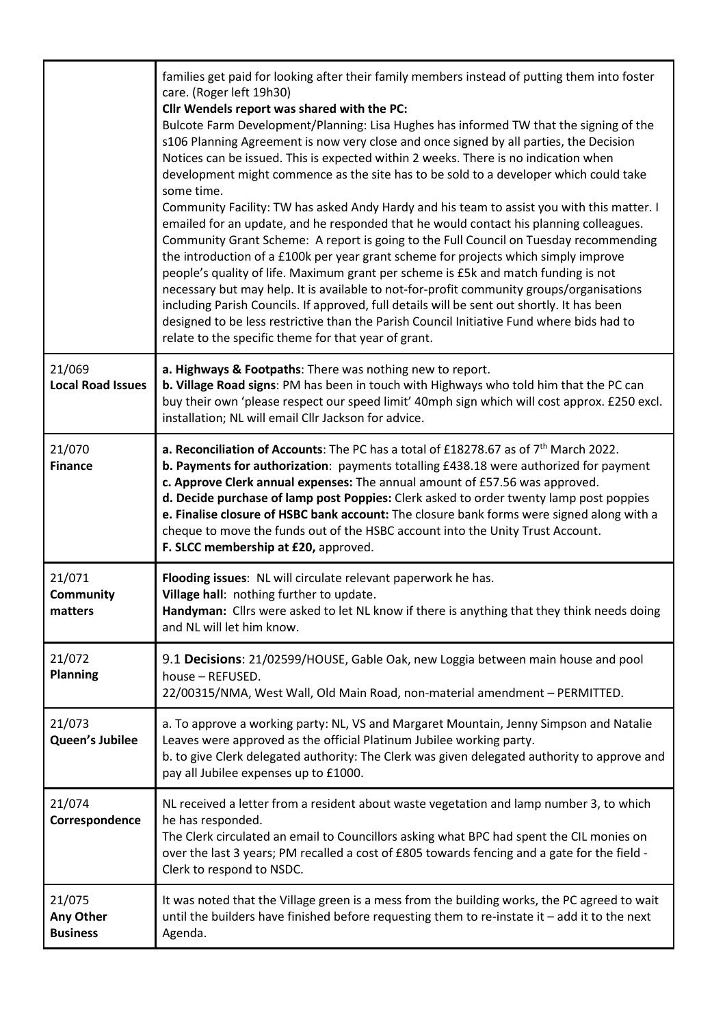|                                        | families get paid for looking after their family members instead of putting them into foster<br>care. (Roger left 19h30)<br>Cllr Wendels report was shared with the PC:<br>Bulcote Farm Development/Planning: Lisa Hughes has informed TW that the signing of the<br>s106 Planning Agreement is now very close and once signed by all parties, the Decision<br>Notices can be issued. This is expected within 2 weeks. There is no indication when<br>development might commence as the site has to be sold to a developer which could take<br>some time.<br>Community Facility: TW has asked Andy Hardy and his team to assist you with this matter. I<br>emailed for an update, and he responded that he would contact his planning colleagues.<br>Community Grant Scheme: A report is going to the Full Council on Tuesday recommending<br>the introduction of a £100k per year grant scheme for projects which simply improve<br>people's quality of life. Maximum grant per scheme is £5k and match funding is not<br>necessary but may help. It is available to not-for-profit community groups/organisations<br>including Parish Councils. If approved, full details will be sent out shortly. It has been<br>designed to be less restrictive than the Parish Council Initiative Fund where bids had to<br>relate to the specific theme for that year of grant. |
|----------------------------------------|------------------------------------------------------------------------------------------------------------------------------------------------------------------------------------------------------------------------------------------------------------------------------------------------------------------------------------------------------------------------------------------------------------------------------------------------------------------------------------------------------------------------------------------------------------------------------------------------------------------------------------------------------------------------------------------------------------------------------------------------------------------------------------------------------------------------------------------------------------------------------------------------------------------------------------------------------------------------------------------------------------------------------------------------------------------------------------------------------------------------------------------------------------------------------------------------------------------------------------------------------------------------------------------------------------------------------------------------------------------------|
| 21/069<br><b>Local Road Issues</b>     | a. Highways & Footpaths: There was nothing new to report.<br>b. Village Road signs: PM has been in touch with Highways who told him that the PC can<br>buy their own 'please respect our speed limit' 40mph sign which will cost approx. £250 excl.<br>installation; NL will email Cllr Jackson for advice.                                                                                                                                                                                                                                                                                                                                                                                                                                                                                                                                                                                                                                                                                                                                                                                                                                                                                                                                                                                                                                                            |
| 21/070<br><b>Finance</b>               | a. Reconciliation of Accounts: The PC has a total of £18278.67 as of 7 <sup>th</sup> March 2022.<br>b. Payments for authorization: payments totalling £438.18 were authorized for payment<br>c. Approve Clerk annual expenses: The annual amount of £57.56 was approved.<br>d. Decide purchase of lamp post Poppies: Clerk asked to order twenty lamp post poppies<br>e. Finalise closure of HSBC bank account: The closure bank forms were signed along with a<br>cheque to move the funds out of the HSBC account into the Unity Trust Account.<br>F. SLCC membership at £20, approved.                                                                                                                                                                                                                                                                                                                                                                                                                                                                                                                                                                                                                                                                                                                                                                              |
| 21/071<br><b>Community</b><br>matters  | Flooding issues: NL will circulate relevant paperwork he has.<br>Village hall: nothing further to update.<br>Handyman: Cllrs were asked to let NL know if there is anything that they think needs doing<br>and NL will let him know.                                                                                                                                                                                                                                                                                                                                                                                                                                                                                                                                                                                                                                                                                                                                                                                                                                                                                                                                                                                                                                                                                                                                   |
| 21/072<br><b>Planning</b>              | 9.1 Decisions: 21/02599/HOUSE, Gable Oak, new Loggia between main house and pool<br>house - REFUSED.<br>22/00315/NMA, West Wall, Old Main Road, non-material amendment - PERMITTED.                                                                                                                                                                                                                                                                                                                                                                                                                                                                                                                                                                                                                                                                                                                                                                                                                                                                                                                                                                                                                                                                                                                                                                                    |
| 21/073<br>Queen's Jubilee              | a. To approve a working party: NL, VS and Margaret Mountain, Jenny Simpson and Natalie<br>Leaves were approved as the official Platinum Jubilee working party.<br>b. to give Clerk delegated authority: The Clerk was given delegated authority to approve and<br>pay all Jubilee expenses up to £1000.                                                                                                                                                                                                                                                                                                                                                                                                                                                                                                                                                                                                                                                                                                                                                                                                                                                                                                                                                                                                                                                                |
| 21/074<br>Correspondence               | NL received a letter from a resident about waste vegetation and lamp number 3, to which<br>he has responded.<br>The Clerk circulated an email to Councillors asking what BPC had spent the CIL monies on<br>over the last 3 years; PM recalled a cost of £805 towards fencing and a gate for the field -<br>Clerk to respond to NSDC.                                                                                                                                                                                                                                                                                                                                                                                                                                                                                                                                                                                                                                                                                                                                                                                                                                                                                                                                                                                                                                  |
| 21/075<br>Any Other<br><b>Business</b> | It was noted that the Village green is a mess from the building works, the PC agreed to wait<br>until the builders have finished before requesting them to re-instate it - add it to the next<br>Agenda.                                                                                                                                                                                                                                                                                                                                                                                                                                                                                                                                                                                                                                                                                                                                                                                                                                                                                                                                                                                                                                                                                                                                                               |